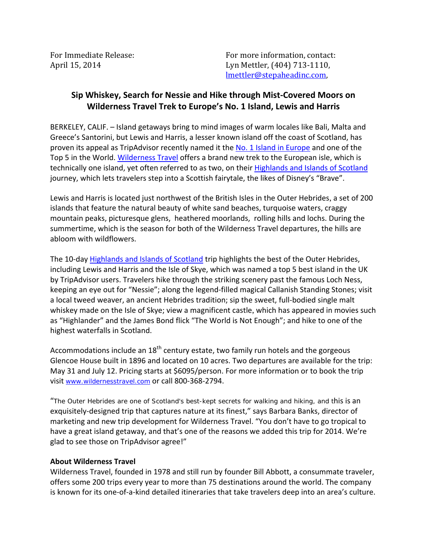For Immediate Release: The Contact: For more information, contact: April 15, 2014 Lyn Mettler, (404) 713-1110, lmettler@stepaheadinc.com,

## **Sip Whiskey, Search for Nessie and Hike through Mist-Covered Moors on Wilderness Travel Trek to Europe's No. 1 Island, Lewis and Harris**

BERKELEY, CALIF. – Island getaways bring to mind images of warm locales like Bali, Malta and Greece's Santorini, but Lewis and Harris, a lesser known island off the coast of Scotland, has proven its appeal as TripAdvisor recently named it the [No. 1 Island in Europe](http://www.tripadvisor.co.uk/TravelersChoice-Islands-cTop-g4) and one of the Top 5 in the World. [Wilderness Travel](http://www.wildernesstravel.com/) offers a brand new trek to the European isle, which is technically one island, yet often referred to as two, on their [Highlands and Islands of Scotland](http://www.wildernesstravel.com/trip/scotland/loch-ness-isle-of-skye-inverness-glencoe-hiking-tour) journey, which lets travelers step into a Scottish fairytale, the likes of Disney's "Brave".

Lewis and Harris is located just northwest of the British Isles in the Outer Hebrides, a set of 200 islands that feature the natural beauty of white sand beaches, turquoise waters, craggy mountain peaks, picturesque glens, heathered moorlands, rolling hills and lochs. During the summertime, which is the season for both of the Wilderness Travel departures, the hills are abloom with wildflowers.

The 10-day [Highlands and Islands of Scotland](http://www.wildernesstravel.com/trip/scotland/loch-ness-isle-of-skye-inverness-glencoe-hiking-tour) trip highlights the best of the Outer Hebrides, including Lewis and Harris and the Isle of Skye, which was named a top 5 best island in the UK by TripAdvisor users. Travelers hike through the striking scenery past the famous Loch Ness, keeping an eye out for "Nessie"; along the legend-filled magical Callanish Standing Stones; visit a local tweed weaver, an ancient Hebrides tradition; sip the sweet, full-bodied single malt whiskey made on the Isle of Skye; view a magnificent castle, which has appeared in movies such as "Highlander" and the James Bond flick "The World is Not Enough"; and hike to one of the highest waterfalls in Scotland.

Accommodations include an  $18<sup>th</sup>$  century estate, two family run hotels and the gorgeous Glencoe House built in 1896 and located on 10 acres. Two departures are available for the trip: May 31 and July 12. Pricing starts at \$6095/person. For more information or to book the trip visit [www.wildernesstravel.com](http://www.wildernesstravel.com) or call 800-368-2794.

"The Outer Hebrides are one of Scotland's best-kept secrets for walking and hiking, and this is an exquisitely-designed trip that captures nature at its finest," says Barbara Banks, director of marketing and new trip development for Wilderness Travel. "You don't have to go tropical to have a great island getaway, and that's one of the reasons we added this trip for 2014. We're glad to see those on TripAdvisor agree!"

## **About Wilderness Travel**

Wilderness Travel, founded in 1978 and still run by founder Bill Abbott, a consummate traveler, offers some 200 trips every year to more than 75 destinations around the world. The company is known for its one-of-a-kind detailed itineraries that take travelers deep into an area's culture.